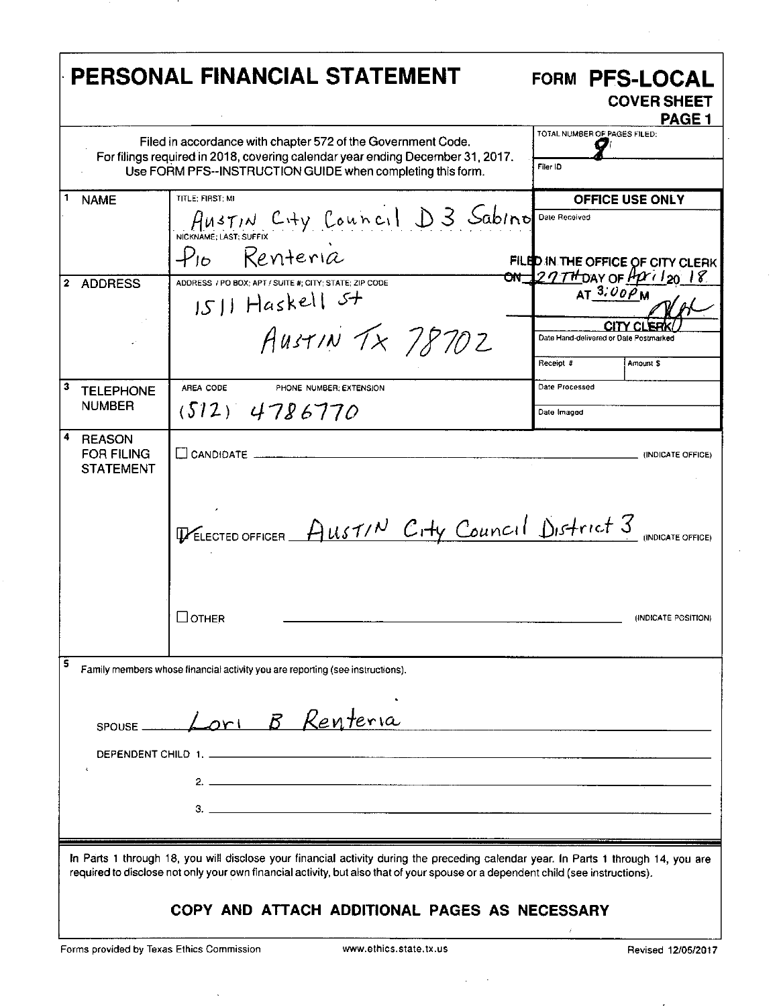|                                                        | Filed in accordance with chapter 572 of the Government Code.<br>For filings required in 2018, covering calendar year ending December 31, 2017.<br>Use FORM PFS--INSTRUCTION GUIDE when completing this form. | TOTAL NUMBER OF PAGES FILED:<br>Filer ID                                                               |
|--------------------------------------------------------|--------------------------------------------------------------------------------------------------------------------------------------------------------------------------------------------------------------|--------------------------------------------------------------------------------------------------------|
| <b>NAME</b>                                            | TITLE: FIRST: MI<br>AUSTIN City Council D3 Sabino<br>NICKNAME: LAST: SUFFIX                                                                                                                                  | <b>OFFICE USE ONLY</b><br>Date Received                                                                |
| <b>ADDRESS</b>                                         | Renteria<br>$\mathcal{P}_{\mathsf{I}\mathsf{b}}$ .<br>ADDRESS / PO BOX; APT / SUITE #: CITY: STATE; ZIP CODE<br>1511 Haskell 5+                                                                              | FILED IN THE OFFICE OF CITY CLERK<br>$\frac{on}{2777}$ DAY OF $\frac{\mu}{120}$ 18<br>AT $3.00 \rho_M$ |
|                                                        | AUSTIN TX 78702                                                                                                                                                                                              | Date Hand-delivered or Date Postmarked<br>Receipt #<br>Amount \$                                       |
| <b>TELEPHONE</b><br><b>NUMBER</b>                      | AREA CODE<br>PHONE NUMBER: EXTENSION<br>$(512)$ 4786770                                                                                                                                                      | Date Processed<br>Date Imaged                                                                          |
| <b>REASON</b><br><b>FOR FILING</b><br><b>STATEMENT</b> | $\Box$ CANDIDATE $\Box$                                                                                                                                                                                      | (INDICATE OFFICE)                                                                                      |
|                                                        | <b>THELECTED OFFICER</b> $A$ usti <sup>N</sup> C <sub>1</sub> +y Council District 3 (INDICATE OFFICE)                                                                                                        |                                                                                                        |
|                                                        | ⊥отнев                                                                                                                                                                                                       | (INDICATE POSITION)                                                                                    |
|                                                        | Family members whose financial activity you are reporting (see instructions).                                                                                                                                |                                                                                                        |
|                                                        | Lori B Renteria                                                                                                                                                                                              |                                                                                                        |
| SPOUSE __                                              |                                                                                                                                                                                                              |                                                                                                        |
|                                                        |                                                                                                                                                                                                              |                                                                                                        |

Forms provided by Texas Ethics Commission www.ethics.state.tx.us Revised 12/05/2017

 $\bar{\lambda}$ 

-

 $\sim$   $\sim$  $\mathcal{L}^{\mathcal{L}}$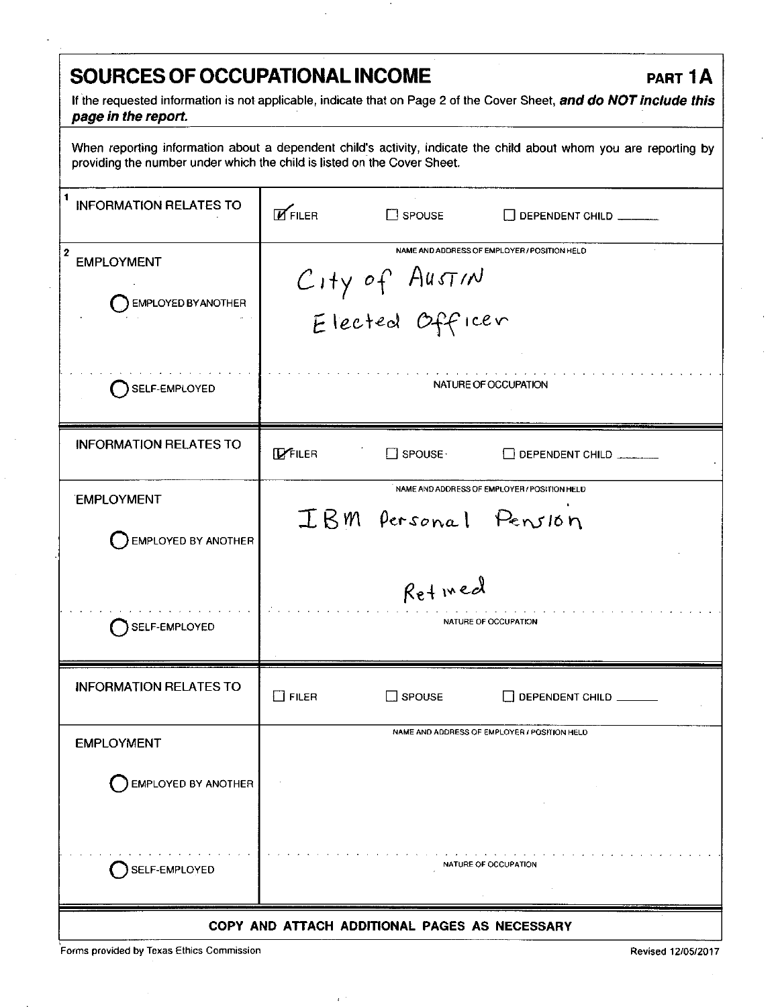## **SOURCES OF OCCUPATIONAL INCOME PART 1A**

If the requested information is not applicable, indicate that on Page 2 of the Cover Sheet, and do NOT include this page in the report.

When reporting information about a dependent child's activity, indicate the child about whom you are reporting by providing the number under which the child is listed on the Cover Sheet.

| <b>INFORMATION RELATES TO</b>                            | <b>E</b> FILER<br>$\Box$ SPOUSE<br>DEPENDENT CHILD                                |  |  |  |
|----------------------------------------------------------|-----------------------------------------------------------------------------------|--|--|--|
| $\mathbf{2}$<br><b>EMPLOYMENT</b><br>EMPLOYED BY ANOTHER | NAME AND ADDRESS OF EMPLOYER / POSITION HELD<br>City of Austin<br>Elected Officer |  |  |  |
| SELF-EMPLOYED                                            | NATURE OF OCCUPATION                                                              |  |  |  |
| <b>INFORMATION RELATES TO</b>                            | <b>IZFILER</b><br>$\Box$ SPOUSE $\cdot$<br>$\Box$ DEPENDENT CHILD                 |  |  |  |
| <b>EMPLOYMENT</b><br>EMPLOYED BY ANOTHER                 | NAME AND ADDRESS OF EMPLOYER / POSITION HELD<br>IBM Personal Pension              |  |  |  |
| SELF-EMPLOYED                                            | Retived<br>NATURE OF OCCUPATION                                                   |  |  |  |
| <b>INFORMATION RELATES TO</b>                            | $\Box$ FILER<br>$\Box$ SPOUSE<br>DEPENDENT CHILD                                  |  |  |  |
| <b>EMPLOYMENT</b>                                        | NAME AND ADDRESS OF EMPLOYER / POSITION HELD                                      |  |  |  |
| EMPLOYED BY ANOTHER                                      |                                                                                   |  |  |  |
| SELF-EMPLOYED                                            | <b>NATURE OF OCCUPATION</b>                                                       |  |  |  |
| COPY AND ATTACH ADDITIONAL PAGES AS NECESSARY            |                                                                                   |  |  |  |

 $\epsilon^{-1}$ 

Forms provided by Texas Ethics Commission Revised 12/05/2017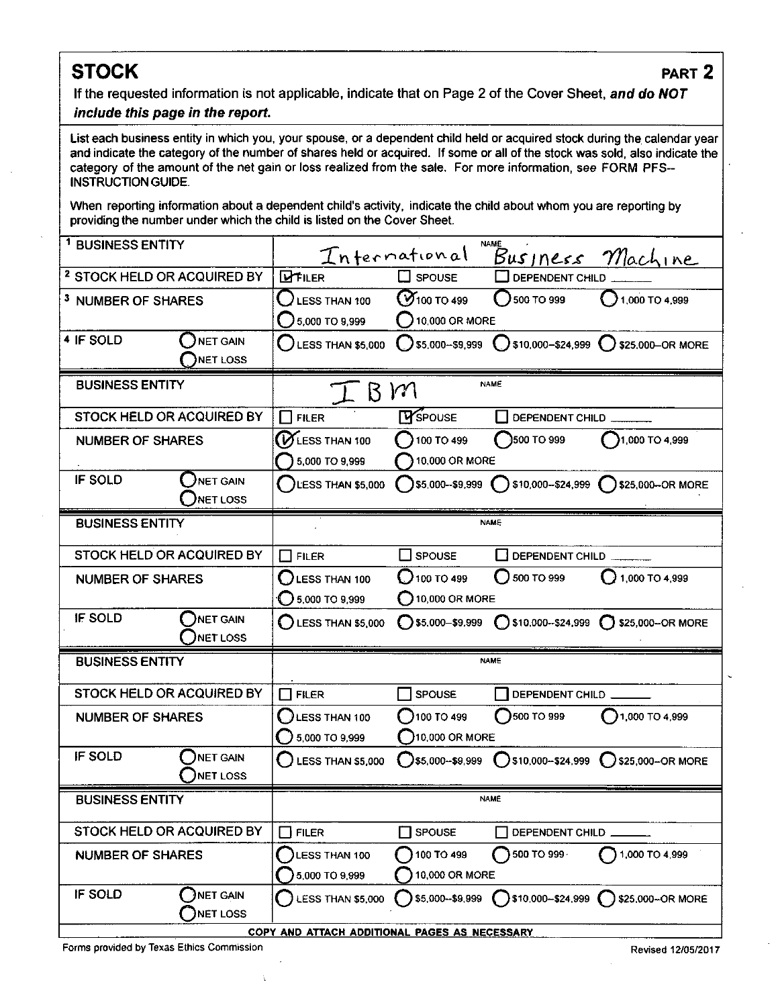# **STOCK** PART 2

**If the requested information is not applicable, indicate that on Page 2 of the Cover Sheet, and do NOT**  include this page in the report.

### List each business entity in which you, your spouse, or a dependent child held or acquired stock during the calendar year and indicate the category of the number of shares held or acquired. If some or all of the stock was sold, also indicate the category of the amount of the net gain or loss realized from the sale. For more information, see FORM PFS-INSTRUCTION GUIDE.

When reporting information about a dependent child's activity, indicate the child about whom you are reporting by providing the number under which the child is listed on the Cover Sheet.

| <sup>1</sup> BUSINESS ENTITY                  |                      |                                 | International                     | <b>NAME</b>     | Business Machine                                                                    |
|-----------------------------------------------|----------------------|---------------------------------|-----------------------------------|-----------------|-------------------------------------------------------------------------------------|
| <sup>2</sup> STOCK HELD OR ACQUIRED BY        |                      | <b>DIFILER</b>                  | $\square$ spouse                  | DEPENDENT CHILD |                                                                                     |
| <sup>3</sup> NUMBER OF SHARES                 |                      | <b>LESS THAN 100</b>            | <b>7</b> 100 ТО 499               | 500 TO 999      | $\bigcirc$ 1,000 TO 4,999                                                           |
|                                               |                      | 5,000 TO 9,999                  | $\left( \ \right)$ 10,000 OR MORE |                 |                                                                                     |
| 4 IF SOLD                                     | NET GAIN             | [ ]<br><b>LESS THAN \$5,000</b> |                                   |                 | $\bigcirc$ \$5,000-\$9,999 $\bigcirc$ \$10,000-\$24,999 $\bigcirc$ \$25,000-OR MORE |
|                                               | <b>NET LOSS</b>      |                                 |                                   |                 |                                                                                     |
| <b>BUSINESS ENTITY</b>                        |                      | $I$ $B$ $M$                     |                                   | <b>NAME</b>     |                                                                                     |
| STOCK HELD OR ACQUIRED BY                     |                      | <b>FILER</b>                    | <b>TY</b> SPOUSE                  | DEPENDENT CHILD |                                                                                     |
| NUMBER OF SHARES                              |                      | <b>VESS THAN 100</b>            | 100 TO 499                        | 3500 TO 999     | $1000$ TO 4,999                                                                     |
|                                               |                      | 5,000 TO 9,999                  | 10,000 OR MORE                    |                 |                                                                                     |
| IF SOLD                                       | NET GAIN<br>NET LOSS | $\int$ LESS THAN \$5,000        |                                   |                 | 55,000--\$9,999 ( ) \$10,000--\$24,999 ( ) \$25,000--OR MORE                        |
| <b>BUSINESS ENTITY</b>                        |                      |                                 |                                   | <b>NAME</b>     |                                                                                     |
| STOCK HELD OR ACQUIRED BY                     |                      | $\Box$ Filer                    | ∐ spouse                          | DEPENDENT CHILD |                                                                                     |
|                                               |                      |                                 | 100T0499                          | 500 TO 999      | $1,000$ TO 4,999                                                                    |
| <b>NUMBER OF SHARES</b>                       |                      | LESS THAN 100<br>5,000 TO 9,999 | $\bigcirc$ 10,000 OR MORE         |                 |                                                                                     |
| <b>IF SOLD</b>                                | NET GAIN             |                                 | $\bigcirc$ \$5,000-\$9,999        |                 | ◯ \$10,000--\$24,999 ◯ \$25,000-OR MORE                                             |
|                                               | NET LOSS             | $\bigcirc$ LESS THAN \$5,000    |                                   |                 |                                                                                     |
| <b>BUSINESS ENTITY</b>                        |                      |                                 |                                   | <b>NAME</b>     |                                                                                     |
| STOCK HELD OR ACQUIRED BY                     |                      | $\blacksquare$<br><b>FILER</b>  | <b>SPOUSE</b>                     | DEPENDENT CHILD |                                                                                     |
| <b>NUMBER OF SHARES</b>                       |                      | <b>LESS THAN 100</b>            | $7100$ TO 499                     | 500 TO 999      | $()1,000$ TO 4,999                                                                  |
|                                               |                      | 5,000 TO 9,999                  | 10,000 OR MORE                    |                 |                                                                                     |
| IF SOLD                                       | NET GAIN             | LESS THAN \$5,000               | $\sum$ \$5,000-\$9,999            |                 | $\bigcirc$ \$10,000-\$24,999 $\bigcirc$ \$25,000-OR MORE                            |
|                                               | <b>NET LOSS</b>      |                                 |                                   |                 |                                                                                     |
| <b>BUSINESS ENTITY</b>                        |                      | <b>NAME</b>                     |                                   |                 |                                                                                     |
| STOCK HELD OR ACQUIRED BY                     |                      | <b>FILER</b>                    | <b>SPOUSE</b>                     | DEPENDENT CHILD |                                                                                     |
| <b>NUMBER OF SHARES</b>                       |                      | LESS THAN 100                   | 100 TO 499                        | 500 TO 999      | 1,000 TO 4,999                                                                      |
|                                               |                      | 5,000 TO 9,999                  | 10,000 OR MORE                    |                 |                                                                                     |
| IF SOLD                                       | <b>JNET GAIN</b>     | LESS THAN \$5,000               | \$5,000--\$9,999                  |                 | $\bigcap$ \$10,000-\$24,999 $\bigcap$ \$25,000-OR MORE                              |
|                                               | <b>NET LOSS</b>      |                                 |                                   |                 |                                                                                     |
| COPY AND ATTACH ADDITIONAL PAGES AS NECESSARY |                      |                                 |                                   |                 |                                                                                     |

Forms provided by Texas Ethics Commission Revised 12/05/2017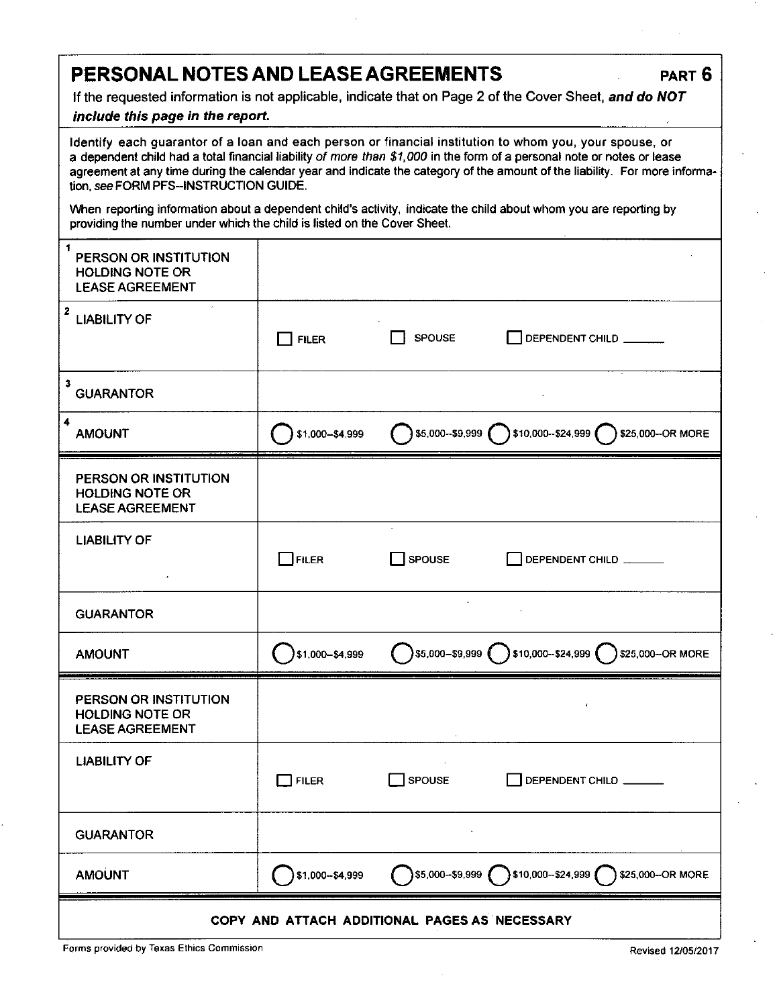| PERSONAL NOTES AND LEASE AGREEMENTS |  | PART 6 |
|-------------------------------------|--|--------|
|-------------------------------------|--|--------|

If the requested information is not applicable, indicate that on Page 2 of the Cover Sheet, and do NOT

## include this page in the report.

| Identify each guarantor of a loan and each person or financial institution to whom you, your spouse, or<br>a dependent child had a total financial liability of more than \$1,000 in the form of a personal note or notes or lease<br>agreement at any time during the calendar year and indicate the category of the amount of the liability. For more informa-<br>tion, see FORM PFS-INSTRUCTION GUIDE. |                 |               |                                                                             |  |  |
|-----------------------------------------------------------------------------------------------------------------------------------------------------------------------------------------------------------------------------------------------------------------------------------------------------------------------------------------------------------------------------------------------------------|-----------------|---------------|-----------------------------------------------------------------------------|--|--|
| When reporting information about a dependent child's activity, indicate the child about whom you are reporting by<br>providing the number under which the child is listed on the Cover Sheet.                                                                                                                                                                                                             |                 |               |                                                                             |  |  |
| 1<br>PERSON OR INSTITUTION<br><b>HOLDING NOTE OR</b><br><b>LEASE AGREEMENT</b>                                                                                                                                                                                                                                                                                                                            |                 |               |                                                                             |  |  |
| 2<br><b>LIABILITY OF</b>                                                                                                                                                                                                                                                                                                                                                                                  | <b>FILER</b>    | SPOUSE        | DEPENDENT CHILD                                                             |  |  |
| 3<br><b>GUARANTOR</b>                                                                                                                                                                                                                                                                                                                                                                                     |                 |               |                                                                             |  |  |
| 4<br><b>AMOUNT</b>                                                                                                                                                                                                                                                                                                                                                                                        | \$1,000-\$4,999 |               | \$5,000-\$9,999 310,000-\$24,999 325,000-OR MORE                            |  |  |
| PERSON OR INSTITUTION<br><b>HOLDING NOTE OR</b><br><b>LEASE AGREEMENT</b>                                                                                                                                                                                                                                                                                                                                 |                 |               |                                                                             |  |  |
| <b>LIABILITY OF</b>                                                                                                                                                                                                                                                                                                                                                                                       | $\Box$ FILER    | <b>SPOUSE</b> | DEPENDENT CHILD                                                             |  |  |
| <b>GUARANTOR</b>                                                                                                                                                                                                                                                                                                                                                                                          |                 |               |                                                                             |  |  |
| <b>AMOUNT</b>                                                                                                                                                                                                                                                                                                                                                                                             | \$1,000-\$4,999 |               | )\$5,000-\$9,999 ( )\$10,000-\$24,999 (<br>\$25,000-OR MORE                 |  |  |
| PERSON OR INSTITUTION<br><b>HOLDING NOTE OR</b><br><b>LEASE AGREEMENT</b>                                                                                                                                                                                                                                                                                                                                 |                 |               |                                                                             |  |  |
| <b>LIABILITY OF</b>                                                                                                                                                                                                                                                                                                                                                                                       | $\Box$ FILER    | SPOUSE        | DEPENDENT CHILD                                                             |  |  |
| <b>GUARANTOR</b>                                                                                                                                                                                                                                                                                                                                                                                          |                 |               |                                                                             |  |  |
| <b>AMOUNT</b>                                                                                                                                                                                                                                                                                                                                                                                             | \$1,000-\$4,999 |               | $\bigcirc$ \$5,000-\$9.999 $\bigcirc$ \$10,000-\$24,999<br>\$25,000-OR MORE |  |  |
| COPY AND ATTACH ADDITIONAL PAGES AS NECESSARY                                                                                                                                                                                                                                                                                                                                                             |                 |               |                                                                             |  |  |

Forms provided by Texas Ethics Commission **Revised 12/05/2017** Commission